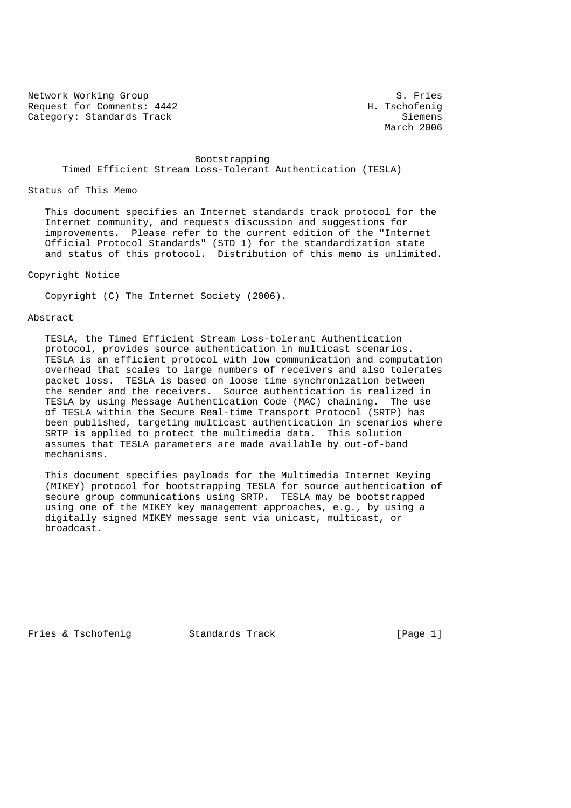Network Working Group S. Fries<br>Request for Comments: 4442 M. Tschofenig Request for Comments: 4442 Category: Standards Track Siemens Siemens Siemens

March 2006

# Bootstrapping Timed Efficient Stream Loss-Tolerant Authentication (TESLA)

Status of This Memo

 This document specifies an Internet standards track protocol for the Internet community, and requests discussion and suggestions for improvements. Please refer to the current edition of the "Internet Official Protocol Standards" (STD 1) for the standardization state and status of this protocol. Distribution of this memo is unlimited.

# Copyright Notice

Copyright (C) The Internet Society (2006).

#### Abstract

 TESLA, the Timed Efficient Stream Loss-tolerant Authentication protocol, provides source authentication in multicast scenarios. TESLA is an efficient protocol with low communication and computation overhead that scales to large numbers of receivers and also tolerates packet loss. TESLA is based on loose time synchronization between the sender and the receivers. Source authentication is realized in TESLA by using Message Authentication Code (MAC) chaining. The use of TESLA within the Secure Real-time Transport Protocol (SRTP) has been published, targeting multicast authentication in scenarios where SRTP is applied to protect the multimedia data. This solution assumes that TESLA parameters are made available by out-of-band mechanisms.

 This document specifies payloads for the Multimedia Internet Keying (MIKEY) protocol for bootstrapping TESLA for source authentication of secure group communications using SRTP. TESLA may be bootstrapped using one of the MIKEY key management approaches, e.g., by using a digitally signed MIKEY message sent via unicast, multicast, or broadcast.

Fries & Tschofenig Standards Track [Page 1]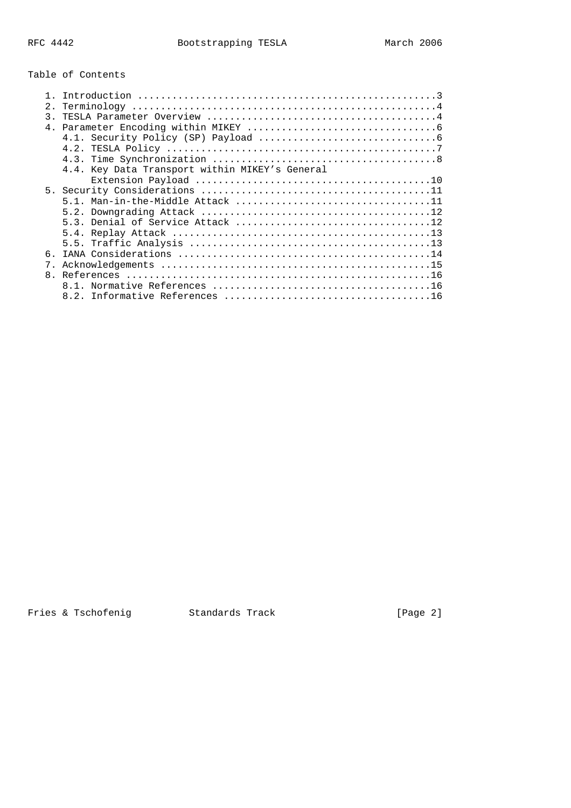# Table of Contents

| 2.            |                                                |
|---------------|------------------------------------------------|
| $\mathcal{E}$ |                                                |
|               |                                                |
|               |                                                |
|               |                                                |
|               |                                                |
|               | 4.4. Key Data Transport within MIKEY's General |
|               |                                                |
|               |                                                |
|               |                                                |
|               |                                                |
|               |                                                |
|               |                                                |
|               |                                                |
|               |                                                |
|               |                                                |
|               |                                                |
|               |                                                |
|               |                                                |

Fries & Tschofenig Fries & Tschofenig Standards Track Fries & Tschofenig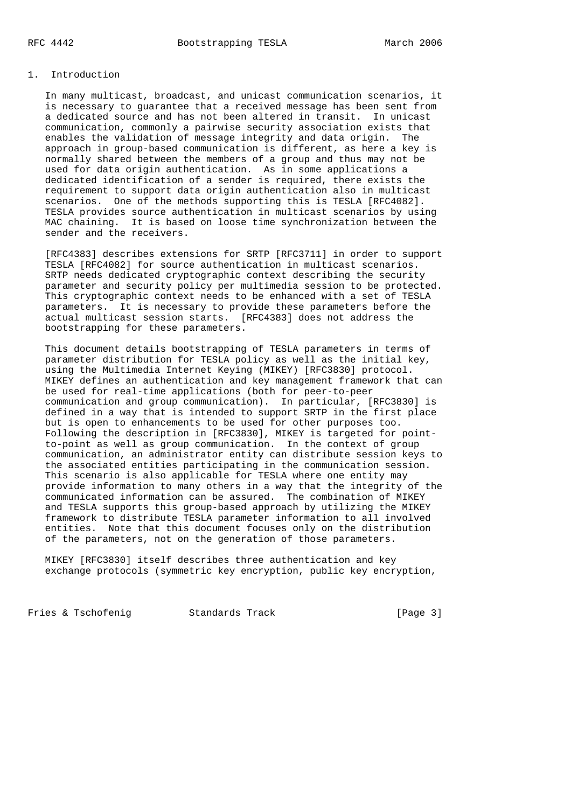# 1. Introduction

 In many multicast, broadcast, and unicast communication scenarios, it is necessary to guarantee that a received message has been sent from a dedicated source and has not been altered in transit. In unicast communication, commonly a pairwise security association exists that enables the validation of message integrity and data origin. The approach in group-based communication is different, as here a key is normally shared between the members of a group and thus may not be used for data origin authentication. As in some applications a dedicated identification of a sender is required, there exists the requirement to support data origin authentication also in multicast scenarios. One of the methods supporting this is TESLA [RFC4082]. TESLA provides source authentication in multicast scenarios by using MAC chaining. It is based on loose time synchronization between the sender and the receivers.

 [RFC4383] describes extensions for SRTP [RFC3711] in order to support TESLA [RFC4082] for source authentication in multicast scenarios. SRTP needs dedicated cryptographic context describing the security parameter and security policy per multimedia session to be protected. This cryptographic context needs to be enhanced with a set of TESLA parameters. It is necessary to provide these parameters before the actual multicast session starts. [RFC4383] does not address the bootstrapping for these parameters.

 This document details bootstrapping of TESLA parameters in terms of parameter distribution for TESLA policy as well as the initial key, using the Multimedia Internet Keying (MIKEY) [RFC3830] protocol. MIKEY defines an authentication and key management framework that can be used for real-time applications (both for peer-to-peer communication and group communication). In particular, [RFC3830] is defined in a way that is intended to support SRTP in the first place but is open to enhancements to be used for other purposes too. Following the description in [RFC3830], MIKEY is targeted for point to-point as well as group communication. In the context of group communication, an administrator entity can distribute session keys to the associated entities participating in the communication session. This scenario is also applicable for TESLA where one entity may provide information to many others in a way that the integrity of the communicated information can be assured. The combination of MIKEY and TESLA supports this group-based approach by utilizing the MIKEY framework to distribute TESLA parameter information to all involved entities. Note that this document focuses only on the distribution of the parameters, not on the generation of those parameters.

 MIKEY [RFC3830] itself describes three authentication and key exchange protocols (symmetric key encryption, public key encryption,

Fries & Tschofenig Standards Track [Page 3]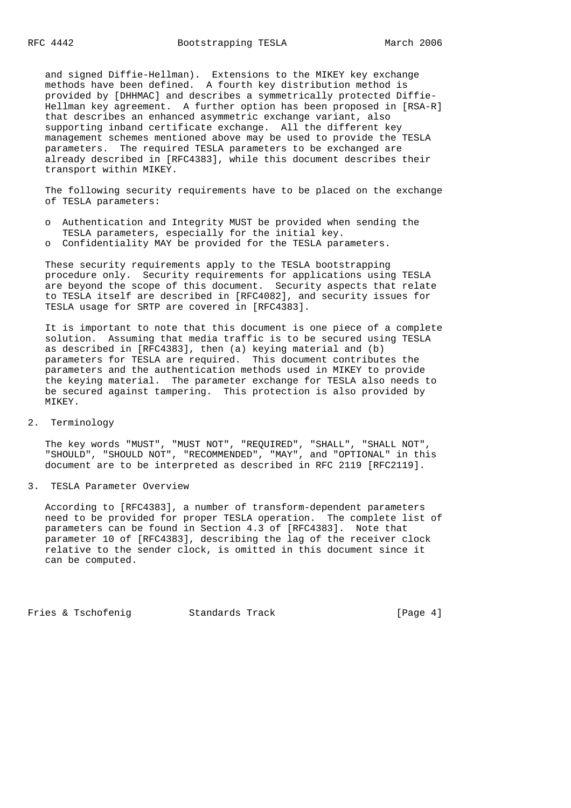and signed Diffie-Hellman). Extensions to the MIKEY key exchange methods have been defined. A fourth key distribution method is provided by [DHHMAC] and describes a symmetrically protected Diffie- Hellman key agreement. A further option has been proposed in [RSA-R] that describes an enhanced asymmetric exchange variant, also supporting inband certificate exchange. All the different key management schemes mentioned above may be used to provide the TESLA parameters. The required TESLA parameters to be exchanged are already described in [RFC4383], while this document describes their transport within MIKEY.

 The following security requirements have to be placed on the exchange of TESLA parameters:

- o Authentication and Integrity MUST be provided when sending the TESLA parameters, especially for the initial key.
- o Confidentiality MAY be provided for the TESLA parameters.

 These security requirements apply to the TESLA bootstrapping procedure only. Security requirements for applications using TESLA are beyond the scope of this document. Security aspects that relate to TESLA itself are described in [RFC4082], and security issues for TESLA usage for SRTP are covered in [RFC4383].

 It is important to note that this document is one piece of a complete solution. Assuming that media traffic is to be secured using TESLA as described in [RFC4383], then (a) keying material and (b) parameters for TESLA are required. This document contributes the parameters and the authentication methods used in MIKEY to provide the keying material. The parameter exchange for TESLA also needs to be secured against tampering. This protection is also provided by MIKEY.

2. Terminology

 The key words "MUST", "MUST NOT", "REQUIRED", "SHALL", "SHALL NOT", "SHOULD", "SHOULD NOT", "RECOMMENDED", "MAY", and "OPTIONAL" in this document are to be interpreted as described in RFC 2119 [RFC2119].

### 3. TESLA Parameter Overview

 According to [RFC4383], a number of transform-dependent parameters need to be provided for proper TESLA operation. The complete list of parameters can be found in Section 4.3 of [RFC4383]. Note that parameter 10 of [RFC4383], describing the lag of the receiver clock relative to the sender clock, is omitted in this document since it can be computed.

Fries & Tschofeniq and Standards Track [Page 4]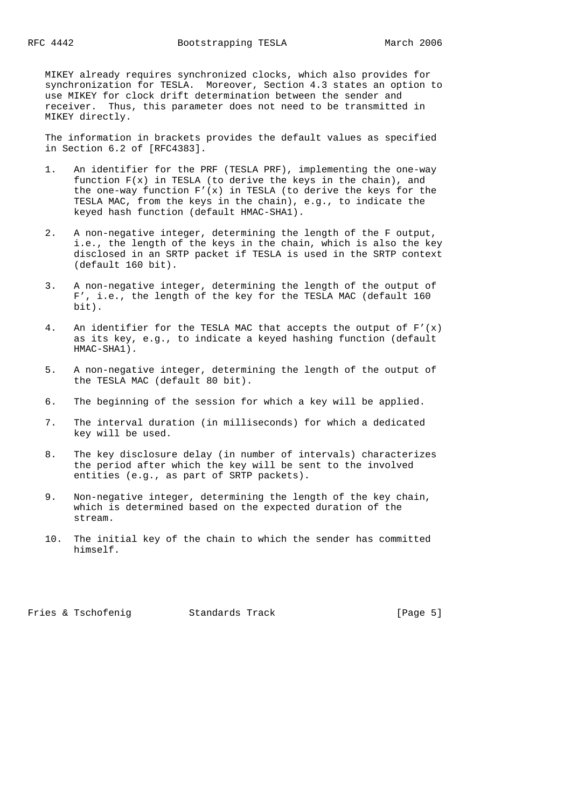MIKEY already requires synchronized clocks, which also provides for synchronization for TESLA. Moreover, Section 4.3 states an option to use MIKEY for clock drift determination between the sender and receiver. Thus, this parameter does not need to be transmitted in MIKEY directly.

 The information in brackets provides the default values as specified in Section 6.2 of [RFC4383].

- 1. An identifier for the PRF (TESLA PRF), implementing the one-way function  $F(x)$  in TESLA (to derive the keys in the chain), and the one-way function  $F'(x)$  in TESLA (to derive the keys for the TESLA MAC, from the keys in the chain), e.g., to indicate the keyed hash function (default HMAC-SHA1).
- 2. A non-negative integer, determining the length of the F output, i.e., the length of the keys in the chain, which is also the key disclosed in an SRTP packet if TESLA is used in the SRTP context (default 160 bit).
- 3. A non-negative integer, determining the length of the output of F', i.e., the length of the key for the TESLA MAC (default 160 bit).
- 4. An identifier for the TESLA MAC that accepts the output of  $F'(x)$  as its key, e.g., to indicate a keyed hashing function (default HMAC-SHA1).
- 5. A non-negative integer, determining the length of the output of the TESLA MAC (default 80 bit).
- 6. The beginning of the session for which a key will be applied.
- 7. The interval duration (in milliseconds) for which a dedicated key will be used.
- 8. The key disclosure delay (in number of intervals) characterizes the period after which the key will be sent to the involved entities (e.g., as part of SRTP packets).
- 9. Non-negative integer, determining the length of the key chain, which is determined based on the expected duration of the stream.
- 10. The initial key of the chain to which the sender has committed himself.

Fries & Tschofeniq and Standards Track [Page 5]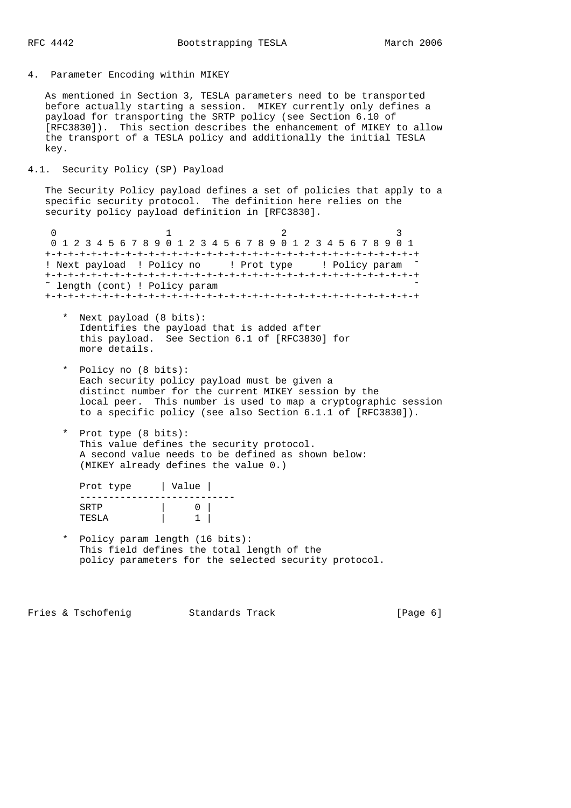## 4. Parameter Encoding within MIKEY

 As mentioned in Section 3, TESLA parameters need to be transported before actually starting a session. MIKEY currently only defines a payload for transporting the SRTP policy (see Section 6.10 of [RFC3830]). This section describes the enhancement of MIKEY to allow the transport of a TESLA policy and additionally the initial TESLA key.

# 4.1. Security Policy (SP) Payload

 The Security Policy payload defines a set of policies that apply to a specific security protocol. The definition here relies on the security policy payload definition in [RFC3830].

0  $1$  2 3 0 1 2 3 4 5 6 7 8 9 0 1 2 3 4 5 6 7 8 9 0 1 2 3 4 5 6 7 8 9 0 1 +-+-+-+-+-+-+-+-+-+-+-+-+-+-+-+-+-+-+-+-+-+-+-+-+-+-+-+-+-+-+-+-+ ! Next payload ! Policy no ! Prot type ! Policy param ˜ +-+-+-+-+-+-+-+-+-+-+-+-+-+-+-+-+-+-+-+-+-+-+-+-+-+-+-+-+-+-+-+-+ ˜ length (cont) ! Policy param ˜ +-+-+-+-+-+-+-+-+-+-+-+-+-+-+-+-+-+-+-+-+-+-+-+-+-+-+-+-+-+-+-+-+

- \* Next payload (8 bits): Identifies the payload that is added after this payload. See Section 6.1 of [RFC3830] for more details.
- \* Policy no (8 bits): Each security policy payload must be given a distinct number for the current MIKEY session by the local peer. This number is used to map a cryptographic session to a specific policy (see also Section 6.1.1 of [RFC3830]).
- \* Prot type (8 bits): This value defines the security protocol. A second value needs to be defined as shown below: (MIKEY already defines the value 0.)

| Prot type     | Value |  |
|---------------|-------|--|
| SRTP<br>TESLA |       |  |

 \* Policy param length (16 bits): This field defines the total length of the policy parameters for the selected security protocol.

Fries & Tschofeniq and Standards Track [Page 6]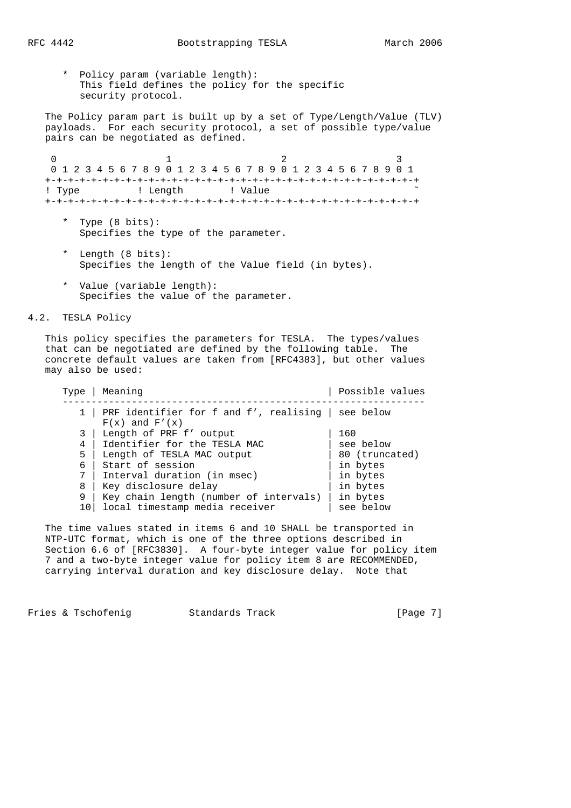\* Policy param (variable length): This field defines the policy for the specific security protocol.

 The Policy param part is built up by a set of Type/Length/Value (TLV) payloads. For each security protocol, a set of possible type/value pairs can be negotiated as defined.

0  $1$  2 3 0 1 2 3 4 5 6 7 8 9 0 1 2 3 4 5 6 7 8 9 0 1 2 3 4 5 6 7 8 9 0 1 +-+-+-+-+-+-+-+-+-+-+-+-+-+-+-+-+-+-+-+-+-+-+-+-+-+-+-+-+-+-+-+-+ ! Type  $\qquad$  ! Length  $\qquad$  ! Value +-+-+-+-+-+-+-+-+-+-+-+-+-+-+-+-+-+-+-+-+-+-+-+-+-+-+-+-+-+-+-+-+

- \* Type (8 bits): Specifies the type of the parameter.
- \* Length (8 bits): Specifies the length of the Value field (in bytes).
- \* Value (variable length): Specifies the value of the parameter.

4.2. TESLA Policy

 This policy specifies the parameters for TESLA. The types/values that can be negotiated are defined by the following table. The concrete default values are taken from [RFC4383], but other values may also be used:

| PRF identifier for f and f', realising $ $ see below<br>$F(x)$ and $F'(x)$<br>Length of PRF f' output<br>160<br>3<br>Identifier for the TESLA MAC<br>see below<br>4<br>5<br>Length of TESLA MAC output<br>80 (truncated)<br>Start of session<br>in bytes<br>6<br>Interval duration (in msec)<br>7<br>in bytes<br>Key disclosure delay<br>in bytes<br>8<br>9<br>Key chain length (number of intervals)<br>in bytes<br>local timestamp media receiver<br>see below<br>10 | Type | Meaning | Possible values |
|------------------------------------------------------------------------------------------------------------------------------------------------------------------------------------------------------------------------------------------------------------------------------------------------------------------------------------------------------------------------------------------------------------------------------------------------------------------------|------|---------|-----------------|
|                                                                                                                                                                                                                                                                                                                                                                                                                                                                        |      |         |                 |
|                                                                                                                                                                                                                                                                                                                                                                                                                                                                        |      |         |                 |
|                                                                                                                                                                                                                                                                                                                                                                                                                                                                        |      |         |                 |
|                                                                                                                                                                                                                                                                                                                                                                                                                                                                        |      |         |                 |
|                                                                                                                                                                                                                                                                                                                                                                                                                                                                        |      |         |                 |
|                                                                                                                                                                                                                                                                                                                                                                                                                                                                        |      |         |                 |
|                                                                                                                                                                                                                                                                                                                                                                                                                                                                        |      |         |                 |
|                                                                                                                                                                                                                                                                                                                                                                                                                                                                        |      |         |                 |
|                                                                                                                                                                                                                                                                                                                                                                                                                                                                        |      |         |                 |

 The time values stated in items 6 and 10 SHALL be transported in NTP-UTC format, which is one of the three options described in Section 6.6 of [RFC3830]. A four-byte integer value for policy item 7 and a two-byte integer value for policy item 8 are RECOMMENDED, carrying interval duration and key disclosure delay. Note that

Fries & Tschofeniq and Standards Track [Page 7]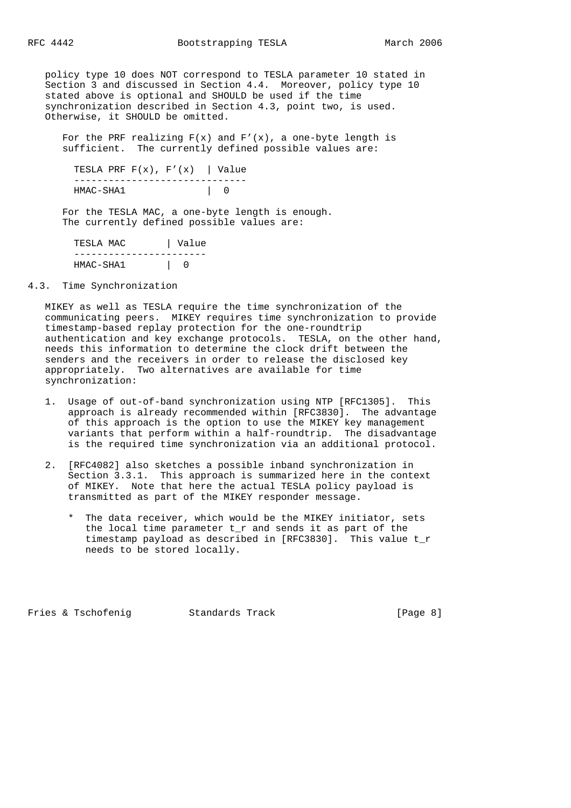policy type 10 does NOT correspond to TESLA parameter 10 stated in Section 3 and discussed in Section 4.4. Moreover, policy type 10 stated above is optional and SHOULD be used if the time synchronization described in Section 4.3, point two, is used. Otherwise, it SHOULD be omitted.

For the PRF realizing  $F(x)$  and  $F'(x)$ , a one-byte length is sufficient. The currently defined possible values are:

```
TESLA PRF F(x), F'(x) | Value
 ------------------------------
HMAC-SHA1 | 0
```
 For the TESLA MAC, a one-byte length is enough. The currently defined possible values are:

| TESLA MAC   | Value |
|-------------|-------|
|             |       |
| $HMAC-SHA1$ |       |

# 4.3. Time Synchronization

 MIKEY as well as TESLA require the time synchronization of the communicating peers. MIKEY requires time synchronization to provide timestamp-based replay protection for the one-roundtrip authentication and key exchange protocols. TESLA, on the other hand, needs this information to determine the clock drift between the senders and the receivers in order to release the disclosed key appropriately. Two alternatives are available for time synchronization:

- 1. Usage of out-of-band synchronization using NTP [RFC1305]. This approach is already recommended within [RFC3830]. The advantage of this approach is the option to use the MIKEY key management variants that perform within a half-roundtrip. The disadvantage is the required time synchronization via an additional protocol.
- 2. [RFC4082] also sketches a possible inband synchronization in Section 3.3.1. This approach is summarized here in the context of MIKEY. Note that here the actual TESLA policy payload is transmitted as part of the MIKEY responder message.
	- \* The data receiver, which would be the MIKEY initiator, sets the local time parameter t\_r and sends it as part of the timestamp payload as described in [RFC3830]. This value t\_r needs to be stored locally.

Fries & Tschofenig Standards Track [Page 8]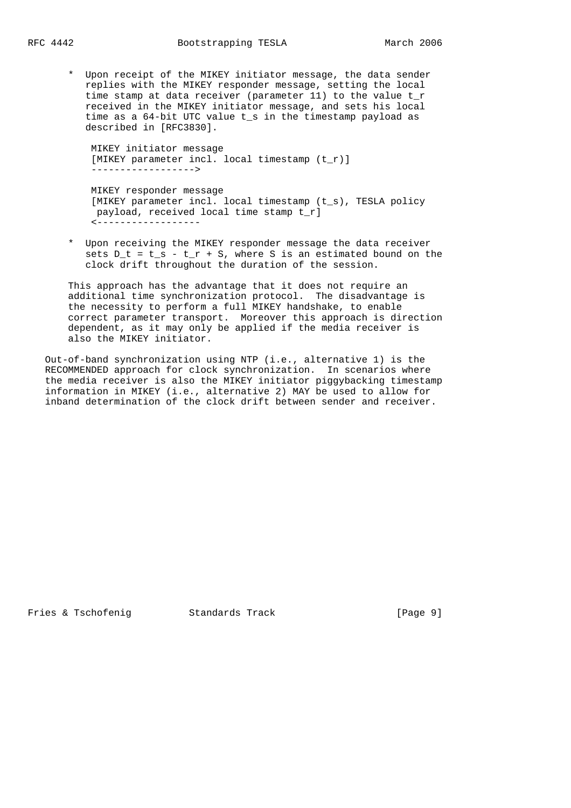\* Upon receipt of the MIKEY initiator message, the data sender replies with the MIKEY responder message, setting the local time stamp at data receiver (parameter 11) to the value t\_r received in the MIKEY initiator message, and sets his local time as a 64-bit UTC value t\_s in the timestamp payload as described in [RFC3830].

 MIKEY initiator message [MIKEY parameter incl. local timestamp (t\_r)] ------------------>

 MIKEY responder message [MIKEY parameter incl. local timestamp (t\_s), TESLA policy payload, received local time stamp t\_r] <------------------

 \* Upon receiving the MIKEY responder message the data receiver sets  $D_t = t_s - t_r + S$ , where S is an estimated bound on the clock drift throughout the duration of the session.

 This approach has the advantage that it does not require an additional time synchronization protocol. The disadvantage is the necessity to perform a full MIKEY handshake, to enable correct parameter transport. Moreover this approach is direction dependent, as it may only be applied if the media receiver is also the MIKEY initiator.

 Out-of-band synchronization using NTP (i.e., alternative 1) is the RECOMMENDED approach for clock synchronization. In scenarios where the media receiver is also the MIKEY initiator piggybacking timestamp information in MIKEY (i.e., alternative 2) MAY be used to allow for inband determination of the clock drift between sender and receiver.

Fries & Tschofenig Standards Track [Page 9]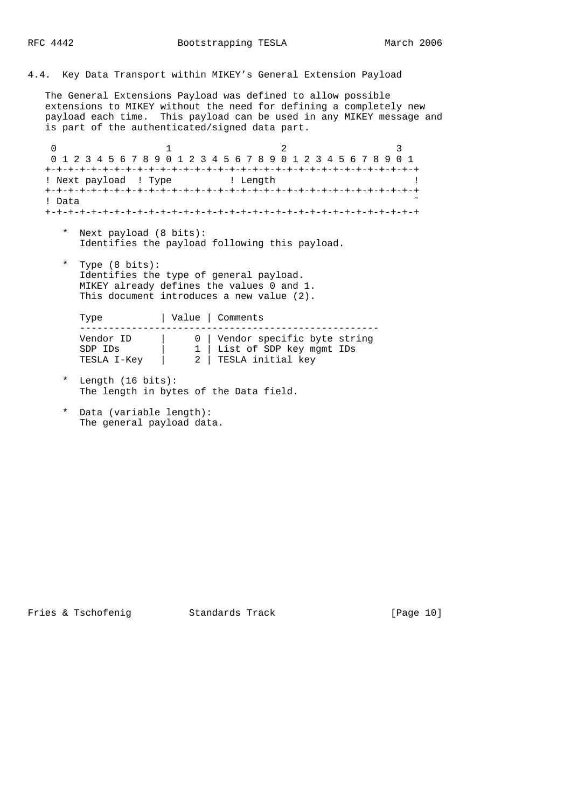# 4.4. Key Data Transport within MIKEY's General Extension Payload

 The General Extensions Payload was defined to allow possible extensions to MIKEY without the need for defining a completely new payload each time. This payload can be used in any MIKEY message and is part of the authenticated/signed data part.

 $0$  1 2 3 0 1 2 3 4 5 6 7 8 9 0 1 2 3 4 5 6 7 8 9 0 1 2 3 4 5 6 7 8 9 0 1 +-+-+-+-+-+-+-+-+-+-+-+-+-+-+-+-+-+-+-+-+-+-+-+-+-+-+-+-+-+-+-+-+ ! Next payload ! Type  $\qquad$  ! Length +-+-+-+-+-+-+-+-+-+-+-+-+-+-+-+-+-+-+-+-+-+-+-+-+-+-+-+-+-+-+-+-+ ! Data ˜ +-+-+-+-+-+-+-+-+-+-+-+-+-+-+-+-+-+-+-+-+-+-+-+-+-+-+-+-+-+-+-+-+

- \* Next payload (8 bits): Identifies the payload following this payload.
- \* Type (8 bits): Identifies the type of general payload. MIKEY already defines the values 0 and 1. This document introduces a new value (2).

Type | Value | Comments ---------------------------------------------------- Vendor ID | 0 | Vendor specific byte string SDP IDs | 1 | List of SDP key mgmt IDs TESLA I-Key | 2 | TESLA initial key

- \* Length (16 bits): The length in bytes of the Data field.
- \* Data (variable length): The general payload data.

Fries & Tschofeniq  $S$  Standards Track [Page 10]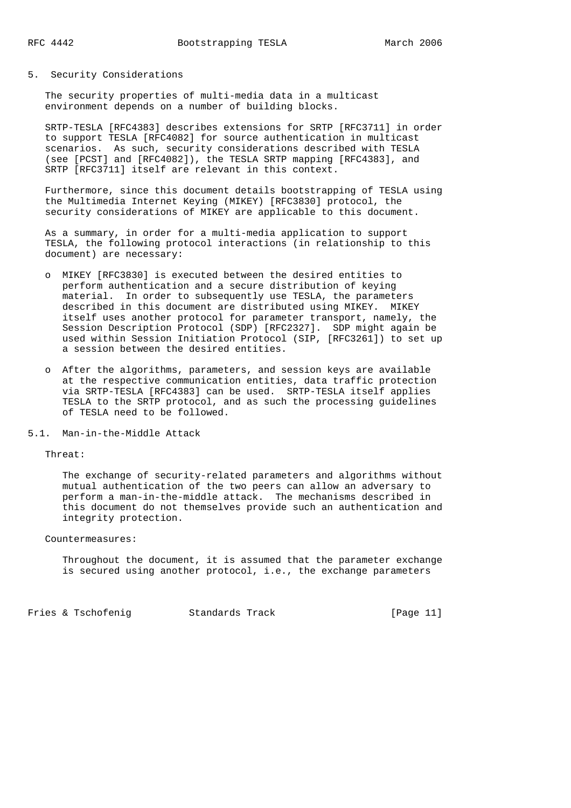#### 5. Security Considerations

 The security properties of multi-media data in a multicast environment depends on a number of building blocks.

 SRTP-TESLA [RFC4383] describes extensions for SRTP [RFC3711] in order to support TESLA [RFC4082] for source authentication in multicast scenarios. As such, security considerations described with TESLA (see [PCST] and [RFC4082]), the TESLA SRTP mapping [RFC4383], and SRTP [RFC3711] itself are relevant in this context.

 Furthermore, since this document details bootstrapping of TESLA using the Multimedia Internet Keying (MIKEY) [RFC3830] protocol, the security considerations of MIKEY are applicable to this document.

 As a summary, in order for a multi-media application to support TESLA, the following protocol interactions (in relationship to this document) are necessary:

- o MIKEY [RFC3830] is executed between the desired entities to perform authentication and a secure distribution of keying material. In order to subsequently use TESLA, the parameters described in this document are distributed using MIKEY. MIKEY itself uses another protocol for parameter transport, namely, the Session Description Protocol (SDP) [RFC2327]. SDP might again be used within Session Initiation Protocol (SIP, [RFC3261]) to set up a session between the desired entities.
- o After the algorithms, parameters, and session keys are available at the respective communication entities, data traffic protection via SRTP-TESLA [RFC4383] can be used. SRTP-TESLA itself applies TESLA to the SRTP protocol, and as such the processing guidelines of TESLA need to be followed.
- 5.1. Man-in-the-Middle Attack

Threat:

 The exchange of security-related parameters and algorithms without mutual authentication of the two peers can allow an adversary to perform a man-in-the-middle attack. The mechanisms described in this document do not themselves provide such an authentication and integrity protection.

# Countermeasures:

 Throughout the document, it is assumed that the parameter exchange is secured using another protocol, i.e., the exchange parameters

Fries & Tschofenig Standards Track [Page 11]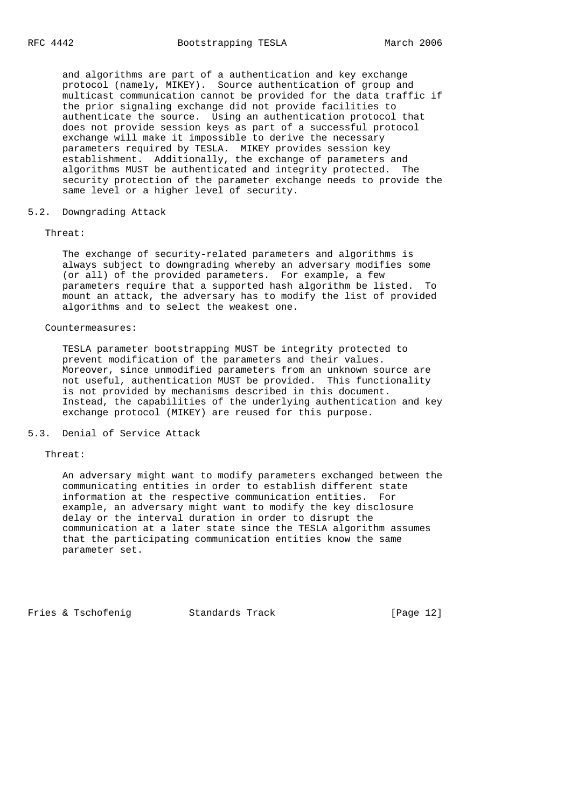and algorithms are part of a authentication and key exchange protocol (namely, MIKEY). Source authentication of group and multicast communication cannot be provided for the data traffic if the prior signaling exchange did not provide facilities to authenticate the source. Using an authentication protocol that does not provide session keys as part of a successful protocol exchange will make it impossible to derive the necessary parameters required by TESLA. MIKEY provides session key establishment. Additionally, the exchange of parameters and algorithms MUST be authenticated and integrity protected. The security protection of the parameter exchange needs to provide the same level or a higher level of security.

#### 5.2. Downgrading Attack

#### Threat:

 The exchange of security-related parameters and algorithms is always subject to downgrading whereby an adversary modifies some (or all) of the provided parameters. For example, a few parameters require that a supported hash algorithm be listed. To mount an attack, the adversary has to modify the list of provided algorithms and to select the weakest one.

#### Countermeasures:

 TESLA parameter bootstrapping MUST be integrity protected to prevent modification of the parameters and their values. Moreover, since unmodified parameters from an unknown source are not useful, authentication MUST be provided. This functionality is not provided by mechanisms described in this document. Instead, the capabilities of the underlying authentication and key exchange protocol (MIKEY) are reused for this purpose.

### 5.3. Denial of Service Attack

#### Threat:

 An adversary might want to modify parameters exchanged between the communicating entities in order to establish different state information at the respective communication entities. For example, an adversary might want to modify the key disclosure delay or the interval duration in order to disrupt the communication at a later state since the TESLA algorithm assumes that the participating communication entities know the same parameter set.

Fries & Tschofenig Standards Track [Page 12]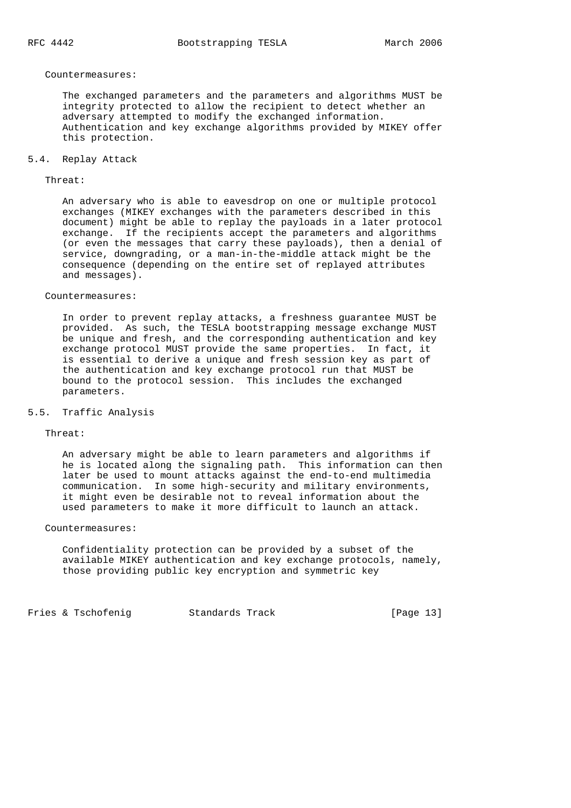#### Countermeasures:

 The exchanged parameters and the parameters and algorithms MUST be integrity protected to allow the recipient to detect whether an adversary attempted to modify the exchanged information. Authentication and key exchange algorithms provided by MIKEY offer this protection.

# 5.4. Replay Attack

# Threat:

 An adversary who is able to eavesdrop on one or multiple protocol exchanges (MIKEY exchanges with the parameters described in this document) might be able to replay the payloads in a later protocol exchange. If the recipients accept the parameters and algorithms (or even the messages that carry these payloads), then a denial of service, downgrading, or a man-in-the-middle attack might be the consequence (depending on the entire set of replayed attributes and messages).

# Countermeasures:

 In order to prevent replay attacks, a freshness guarantee MUST be provided. As such, the TESLA bootstrapping message exchange MUST be unique and fresh, and the corresponding authentication and key exchange protocol MUST provide the same properties. In fact, it is essential to derive a unique and fresh session key as part of the authentication and key exchange protocol run that MUST be bound to the protocol session. This includes the exchanged parameters.

### 5.5. Traffic Analysis

#### Threat:

 An adversary might be able to learn parameters and algorithms if he is located along the signaling path. This information can then later be used to mount attacks against the end-to-end multimedia communication. In some high-security and military environments, it might even be desirable not to reveal information about the used parameters to make it more difficult to launch an attack.

# Countermeasures:

 Confidentiality protection can be provided by a subset of the available MIKEY authentication and key exchange protocols, namely, those providing public key encryption and symmetric key

Fries & Tschofeniq and Standards Track [Page 13]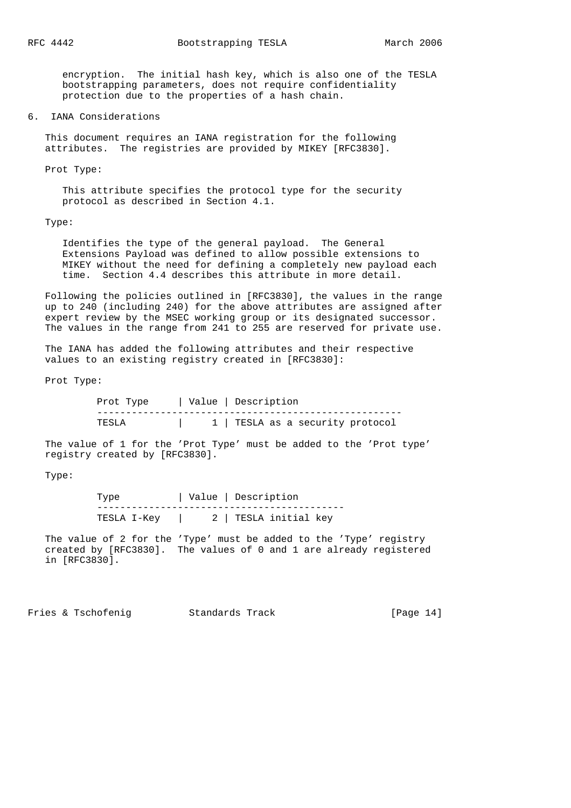encryption. The initial hash key, which is also one of the TESLA bootstrapping parameters, does not require confidentiality protection due to the properties of a hash chain.

#### 6. IANA Considerations

 This document requires an IANA registration for the following attributes. The registries are provided by MIKEY [RFC3830].

Prot Type:

 This attribute specifies the protocol type for the security protocol as described in Section 4.1.

Type:

 Identifies the type of the general payload. The General Extensions Payload was defined to allow possible extensions to MIKEY without the need for defining a completely new payload each time. Section 4.4 describes this attribute in more detail.

 Following the policies outlined in [RFC3830], the values in the range up to 240 (including 240) for the above attributes are assigned after expert review by the MSEC working group or its designated successor. The values in the range from 241 to 255 are reserved for private use.

 The IANA has added the following attributes and their respective values to an existing registry created in [RFC3830]:

Prot Type:

| Prot Type | Value   Description              |
|-----------|----------------------------------|
|           |                                  |
| TESLA     | 1   TESLA as a security protocol |

 The value of 1 for the 'Prot Type' must be added to the 'Prot type' registry created by [RFC3830].

Type:

|             | Value   Description   |
|-------------|-----------------------|
| TESLA I-Kev | 2   TESLA initial key |

 The value of 2 for the 'Type' must be added to the 'Type' registry created by [RFC3830]. The values of 0 and 1 are already registered in [RFC3830].

Fries & Tschofeniq  $S$  Standards Track [Page 14]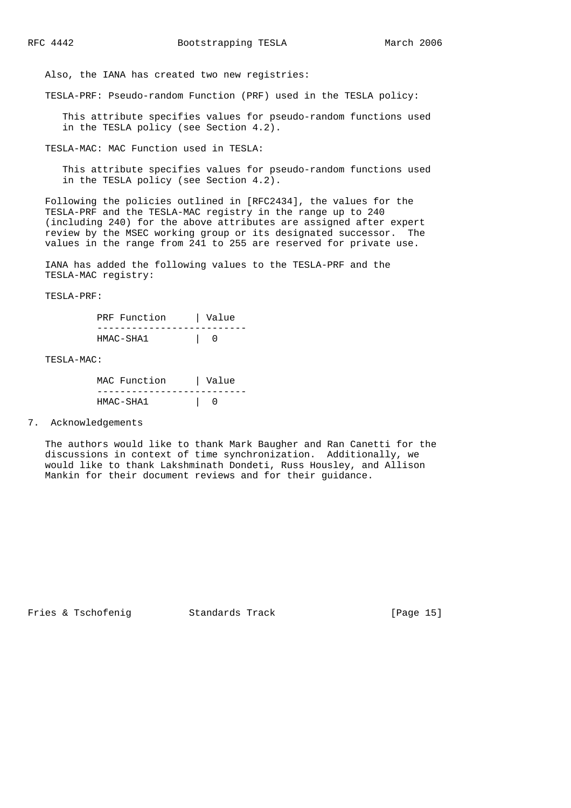Also, the IANA has created two new registries:

TESLA-PRF: Pseudo-random Function (PRF) used in the TESLA policy:

 This attribute specifies values for pseudo-random functions used in the TESLA policy (see Section 4.2).

TESLA-MAC: MAC Function used in TESLA:

 This attribute specifies values for pseudo-random functions used in the TESLA policy (see Section 4.2).

 Following the policies outlined in [RFC2434], the values for the TESLA-PRF and the TESLA-MAC registry in the range up to 240 (including 240) for the above attributes are assigned after expert review by the MSEC working group or its designated successor. The values in the range from 241 to 255 are reserved for private use.

 IANA has added the following values to the TESLA-PRF and the TESLA-MAC registry:

TESLA-PRF:

| PRF Function | Value |
|--------------|-------|
|              |       |
| HMAC-SHA1    |       |

TESLA-MAC:

| MAC Function | Value |
|--------------|-------|
|              |       |
| HMAC-SHA1    |       |

7. Acknowledgements

 The authors would like to thank Mark Baugher and Ran Canetti for the discussions in context of time synchronization. Additionally, we would like to thank Lakshminath Dondeti, Russ Housley, and Allison Mankin for their document reviews and for their guidance.

Fries & Tschofenig Standards Track [Page 15]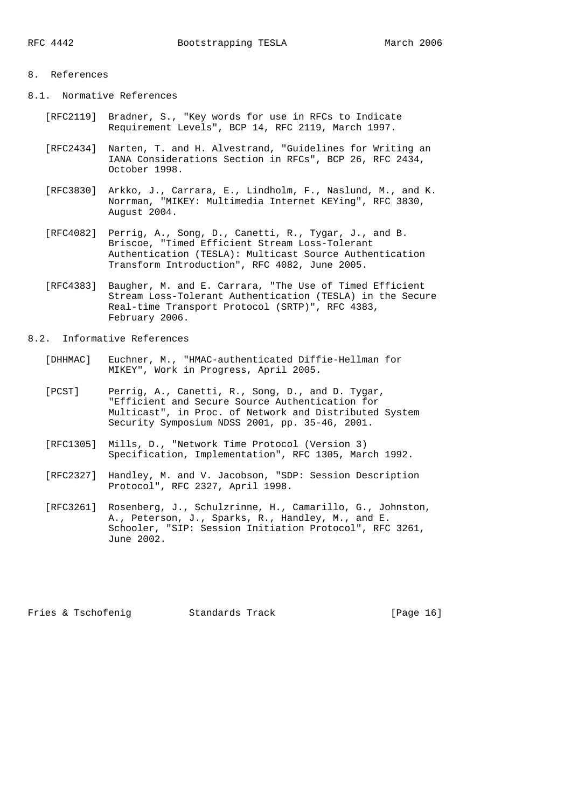# 8. References

8.1. Normative References

- [RFC2119] Bradner, S., "Key words for use in RFCs to Indicate Requirement Levels", BCP 14, RFC 2119, March 1997.
- [RFC2434] Narten, T. and H. Alvestrand, "Guidelines for Writing an IANA Considerations Section in RFCs", BCP 26, RFC 2434, October 1998.
- [RFC3830] Arkko, J., Carrara, E., Lindholm, F., Naslund, M., and K. Norrman, "MIKEY: Multimedia Internet KEYing", RFC 3830, August 2004.
- [RFC4082] Perrig, A., Song, D., Canetti, R., Tygar, J., and B. Briscoe, "Timed Efficient Stream Loss-Tolerant Authentication (TESLA): Multicast Source Authentication Transform Introduction", RFC 4082, June 2005.
- [RFC4383] Baugher, M. and E. Carrara, "The Use of Timed Efficient Stream Loss-Tolerant Authentication (TESLA) in the Secure Real-time Transport Protocol (SRTP)", RFC 4383, February 2006.

### 8.2. Informative References

- [DHHMAC] Euchner, M., "HMAC-authenticated Diffie-Hellman for MIKEY", Work in Progress, April 2005.
- [PCST] Perrig, A., Canetti, R., Song, D., and D. Tygar, "Efficient and Secure Source Authentication for Multicast", in Proc. of Network and Distributed System Security Symposium NDSS 2001, pp. 35-46, 2001.
- [RFC1305] Mills, D., "Network Time Protocol (Version 3) Specification, Implementation", RFC 1305, March 1992.
- [RFC2327] Handley, M. and V. Jacobson, "SDP: Session Description Protocol", RFC 2327, April 1998.
- [RFC3261] Rosenberg, J., Schulzrinne, H., Camarillo, G., Johnston, A., Peterson, J., Sparks, R., Handley, M., and E. Schooler, "SIP: Session Initiation Protocol", RFC 3261, June 2002.

Fries & Tschofenig Standards Track [Page 16]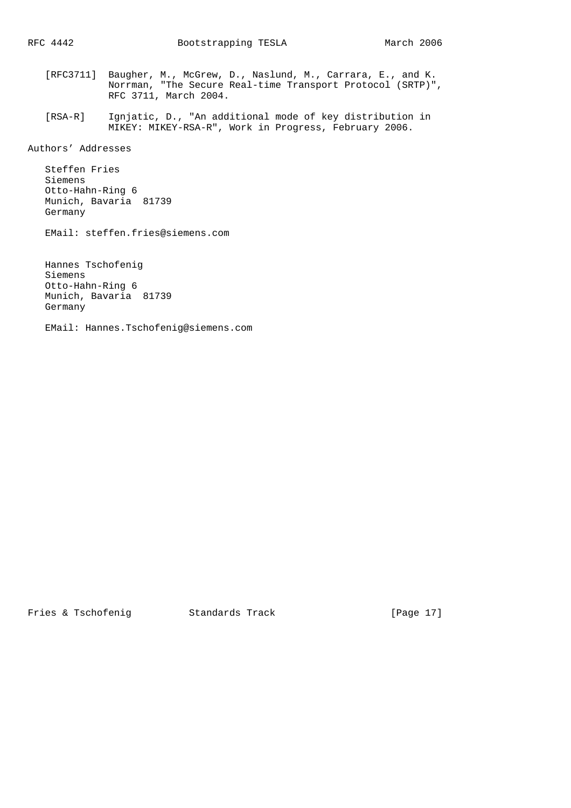- [RFC3711] Baugher, M., McGrew, D., Naslund, M., Carrara, E., and K. Norrman, "The Secure Real-time Transport Protocol (SRTP)", RFC 3711, March 2004.
	- [RSA-R] Ignjatic, D., "An additional mode of key distribution in MIKEY: MIKEY-RSA-R", Work in Progress, February 2006.

Authors' Addresses

 Steffen Fries Siemens Otto-Hahn-Ring 6 Munich, Bavaria 81739 Germany

EMail: steffen.fries@siemens.com

 Hannes Tschofenig Siemens Otto-Hahn-Ring 6 Munich, Bavaria 81739 Germany

EMail: Hannes.Tschofenig@siemens.com

Fries & Tschofenig Standards Track [Page 17]